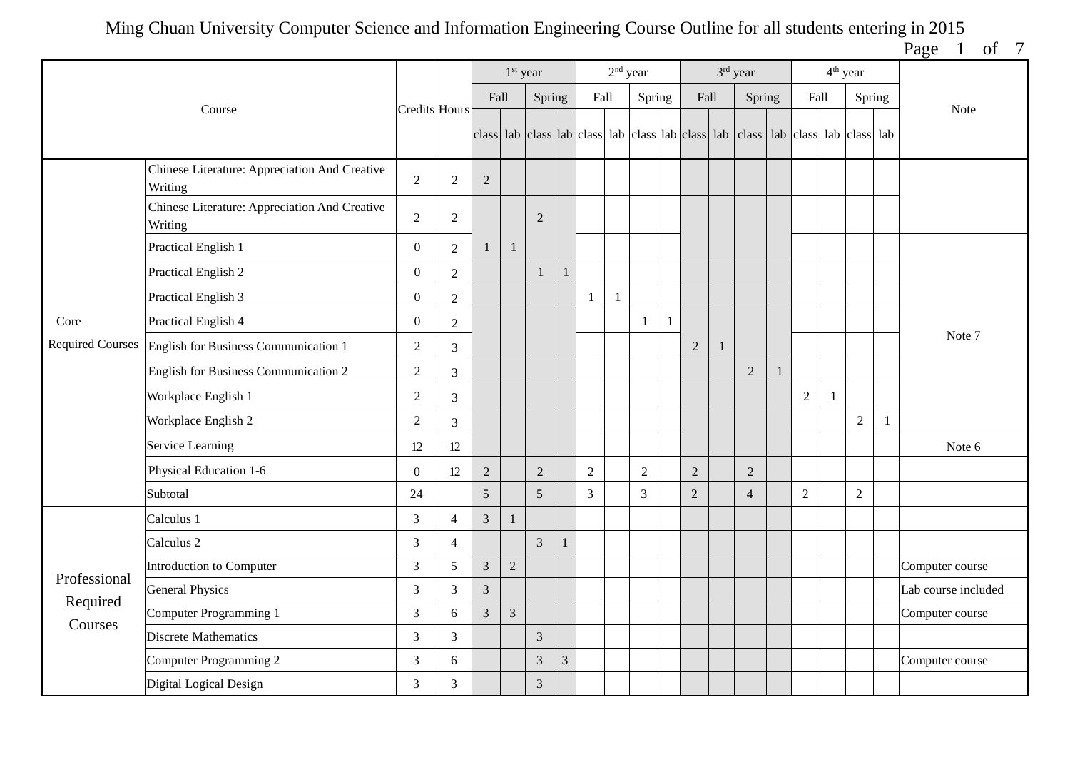Page 1 of 7

|                         |                                                          |                  |                |                | 1 <sup>st</sup> year |                |                |            | $2nd$ year |                |   |                | 3rd year                                                                                  |   |                |              | 4 <sup>th</sup> year |        |                     |
|-------------------------|----------------------------------------------------------|------------------|----------------|----------------|----------------------|----------------|----------------|------------|------------|----------------|---|----------------|-------------------------------------------------------------------------------------------|---|----------------|--------------|----------------------|--------|---------------------|
|                         | Course                                                   | Credits Hours    |                | Fall           |                      | Spring         |                | Fall       |            | Spring         |   | Fall           | Spring                                                                                    |   | Fall           |              |                      | Spring | <b>Note</b>         |
|                         |                                                          |                  |                |                |                      |                |                |            |            |                |   |                | class lab class lab class lab class lab class lab class lab class lab class lab class lab |   |                |              |                      |        |                     |
|                         | Chinese Literature: Appreciation And Creative<br>Writing | $\overline{2}$   | $\overline{2}$ | $\overline{2}$ |                      |                |                |            |            |                |   |                |                                                                                           |   |                |              |                      |        |                     |
|                         | Chinese Literature: Appreciation And Creative<br>Writing | $\sqrt{2}$       | $\overline{2}$ |                |                      | $\overline{2}$ |                |            |            |                |   |                |                                                                                           |   |                |              |                      |        |                     |
|                         | Practical English 1                                      | $\mathbf{0}$     | $\overline{2}$ |                | $\mathbf{1}$         |                |                |            |            |                |   |                |                                                                                           |   |                |              |                      |        |                     |
|                         | Practical English 2                                      | $\boldsymbol{0}$ | $\overline{2}$ |                |                      | $\overline{1}$ |                |            |            |                |   |                |                                                                                           |   |                |              |                      |        |                     |
|                         | Practical English 3                                      | $\boldsymbol{0}$ | $\sqrt{2}$     |                |                      |                |                | -1         | 1          |                |   |                |                                                                                           |   |                |              |                      |        |                     |
| Core                    | Practical English 4                                      | $\boldsymbol{0}$ | $\overline{2}$ |                |                      |                |                |            |            |                | 1 |                |                                                                                           |   |                |              |                      |        |                     |
| <b>Required Courses</b> | English for Business Communication 1                     | $\overline{2}$   | $\mathfrak{Z}$ |                |                      |                |                |            |            |                |   | $\overline{2}$ |                                                                                           |   |                |              |                      |        | Note 7              |
|                         | English for Business Communication 2                     | $\overline{2}$   | 3              |                |                      |                |                |            |            |                |   |                | $\overline{2}$                                                                            | 1 |                |              |                      |        |                     |
|                         | Workplace English 1                                      | $\overline{2}$   | $\overline{3}$ |                |                      |                |                |            |            |                |   |                |                                                                                           |   | $\overline{2}$ | $\mathbf{1}$ |                      |        |                     |
|                         | Workplace English 2                                      | $\overline{2}$   | 3              |                |                      |                |                |            |            |                |   |                |                                                                                           |   |                |              | $\overline{2}$       | -1     |                     |
|                         | Service Learning                                         | 12               | 12             |                |                      |                |                |            |            |                |   |                |                                                                                           |   |                |              |                      |        | Note 6              |
|                         | Physical Education 1-6                                   | $\mathbf{0}$     | 12             | $\sqrt{2}$     |                      | $\overline{2}$ |                | $\sqrt{2}$ |            | $\sqrt{2}$     |   | $\sqrt{2}$     | 2                                                                                         |   |                |              |                      |        |                     |
|                         | Subtotal                                                 | 24               |                | 5              |                      | 5              |                | 3          |            | $\overline{3}$ |   | $\overline{2}$ | $\overline{4}$                                                                            |   | $\overline{2}$ |              | $\overline{2}$       |        |                     |
|                         | Calculus 1                                               | $\mathfrak{Z}$   | 4              | $\overline{3}$ | 1                    |                |                |            |            |                |   |                |                                                                                           |   |                |              |                      |        |                     |
|                         | Calculus <sub>2</sub>                                    | $\mathfrak{Z}$   | $\overline{4}$ |                |                      | $\overline{3}$ | $\overline{1}$ |            |            |                |   |                |                                                                                           |   |                |              |                      |        |                     |
| Professional            | Introduction to Computer                                 | $\mathfrak{Z}$   | 5              | $\overline{3}$ | $\overline{2}$       |                |                |            |            |                |   |                |                                                                                           |   |                |              |                      |        | Computer course     |
| Required                | <b>General Physics</b>                                   | $\mathfrak{Z}$   | 3              | $\mathfrak{Z}$ |                      |                |                |            |            |                |   |                |                                                                                           |   |                |              |                      |        | Lab course included |
| Courses                 | Computer Programming 1                                   | $\mathfrak{Z}$   | 6              | $\overline{3}$ | $\overline{3}$       |                |                |            |            |                |   |                |                                                                                           |   |                |              |                      |        | Computer course     |
|                         | <b>Discrete Mathematics</b>                              | $\mathfrak{Z}$   | 3              |                |                      | $\overline{3}$ |                |            |            |                |   |                |                                                                                           |   |                |              |                      |        |                     |
|                         | Computer Programming 2                                   | $\mathfrak{Z}$   | 6              |                |                      | 3              | $\mathfrak{Z}$ |            |            |                |   |                |                                                                                           |   |                |              |                      |        | Computer course     |
|                         | Digital Logical Design                                   | $\mathfrak{Z}$   | 3              |                |                      | $\overline{3}$ |                |            |            |                |   |                |                                                                                           |   |                |              |                      |        |                     |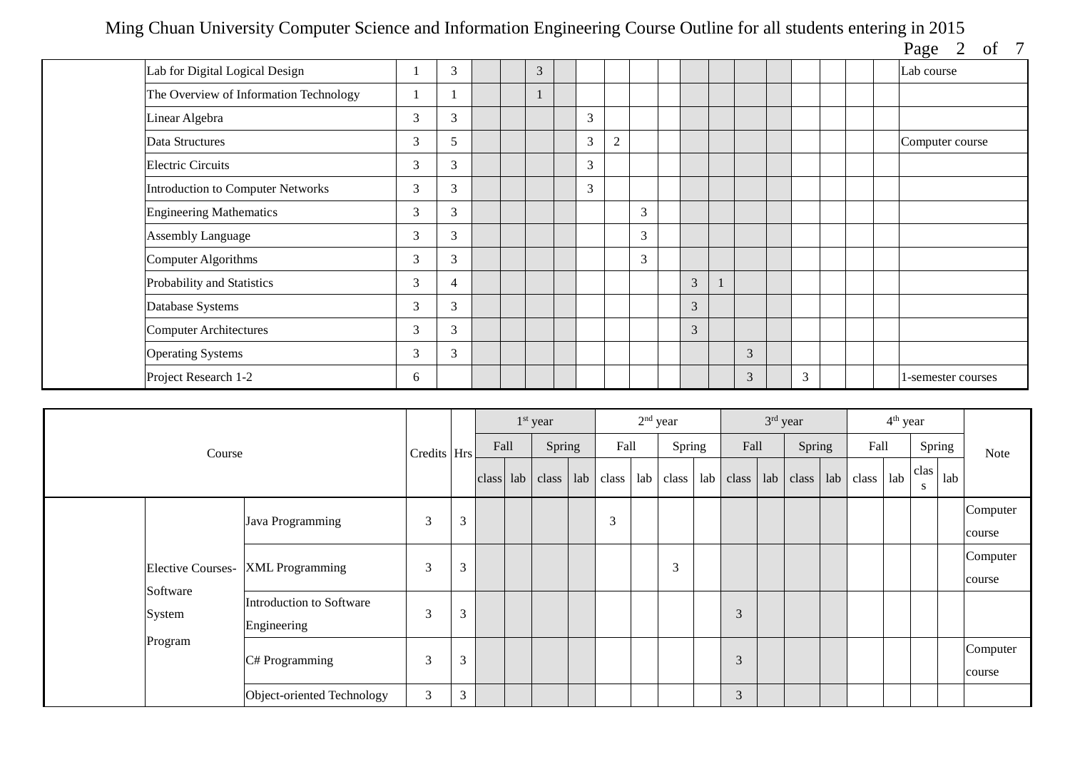| Page | Ω1 |  |
|------|----|--|

|                                        |   |   |  |   |                |                |   |   |                |   |  | $\frac{1}{2}$ $\frac{1}{2}$ $\frac{1}{2}$ $\frac{1}{2}$ $\frac{1}{2}$ |
|----------------------------------------|---|---|--|---|----------------|----------------|---|---|----------------|---|--|-----------------------------------------------------------------------|
| Lab for Digital Logical Design         |   | 3 |  | 3 |                |                |   |   |                |   |  | Lab course                                                            |
| The Overview of Information Technology |   |   |  |   |                |                |   |   |                |   |  |                                                                       |
| Linear Algebra                         | 3 | 3 |  |   | 3              |                |   |   |                |   |  |                                                                       |
| Data Structures                        | 3 | 5 |  |   | 3              | $\overline{2}$ |   |   |                |   |  | Computer course                                                       |
| <b>Electric Circuits</b>               | 3 | 3 |  |   | $\mathfrak{Z}$ |                |   |   |                |   |  |                                                                       |
| Introduction to Computer Networks      | 3 | 3 |  |   | 3              |                |   |   |                |   |  |                                                                       |
| <b>Engineering Mathematics</b>         | 3 | 3 |  |   |                |                | 3 |   |                |   |  |                                                                       |
| <b>Assembly Language</b>               | 3 | 3 |  |   |                |                | 3 |   |                |   |  |                                                                       |
| Computer Algorithms                    | 3 | 3 |  |   |                |                | 3 |   |                |   |  |                                                                       |
| Probability and Statistics             | 3 | 4 |  |   |                |                |   | 3 |                |   |  |                                                                       |
| Database Systems                       | 3 | 3 |  |   |                |                |   | 3 |                |   |  |                                                                       |
| <b>Computer Architectures</b>          | 3 | 3 |  |   |                |                |   | 3 |                |   |  |                                                                       |
| <b>Operating Systems</b>               | 3 | 3 |  |   |                |                |   |   | 3              |   |  |                                                                       |
| Project Research 1-2                   | 6 |   |  |   |                |                |   |   | $\overline{3}$ | 3 |  | 1-semester courses                                                    |

|                          |                            |             |   |      | $1st$ year        |     |             | $2nd$ year |        |      | $3rd$ year |               |       | 4 <sup>th</sup> year |           |        |          |
|--------------------------|----------------------------|-------------|---|------|-------------------|-----|-------------|------------|--------|------|------------|---------------|-------|----------------------|-----------|--------|----------|
| Course                   |                            | Credits Hrs |   | Fall | Spring            |     | Fall        |            | Spring | Fall |            | Spring        | Fall  |                      |           | Spring | Note     |
|                          |                            |             |   |      | $class$ lab class | lab | class       | lab        | class  |      | lab        | $class$ $lab$ | class | lab                  | clas<br>S | lab    |          |
|                          | Java Programming           | 3           | 3 |      |                   |     | $\sim$<br>Ć |            |        |      |            |               |       |                      |           |        | Computer |
|                          |                            |             |   |      |                   |     |             |            |        |      |            |               |       |                      |           |        | course   |
| <b>Elective Courses-</b> | <b>XML</b> Programming     | 3           | 3 |      |                   |     |             |            | 3      |      |            |               |       |                      |           |        | Computer |
| Software                 |                            |             |   |      |                   |     |             |            |        |      |            |               |       |                      |           |        | course   |
| System                   | Introduction to Software   | 3           | 3 |      |                   |     |             |            |        | 3    |            |               |       |                      |           |        |          |
|                          | Engineering                |             |   |      |                   |     |             |            |        |      |            |               |       |                      |           |        |          |
| Program                  | C# Programming             | 3           | 3 |      |                   |     |             |            |        | 3    |            |               |       |                      |           |        | Computer |
|                          |                            |             |   |      |                   |     |             |            |        |      |            |               |       |                      |           |        | course   |
|                          | Object-oriented Technology | 3           | 3 |      |                   |     |             |            |        | 3    |            |               |       |                      |           |        |          |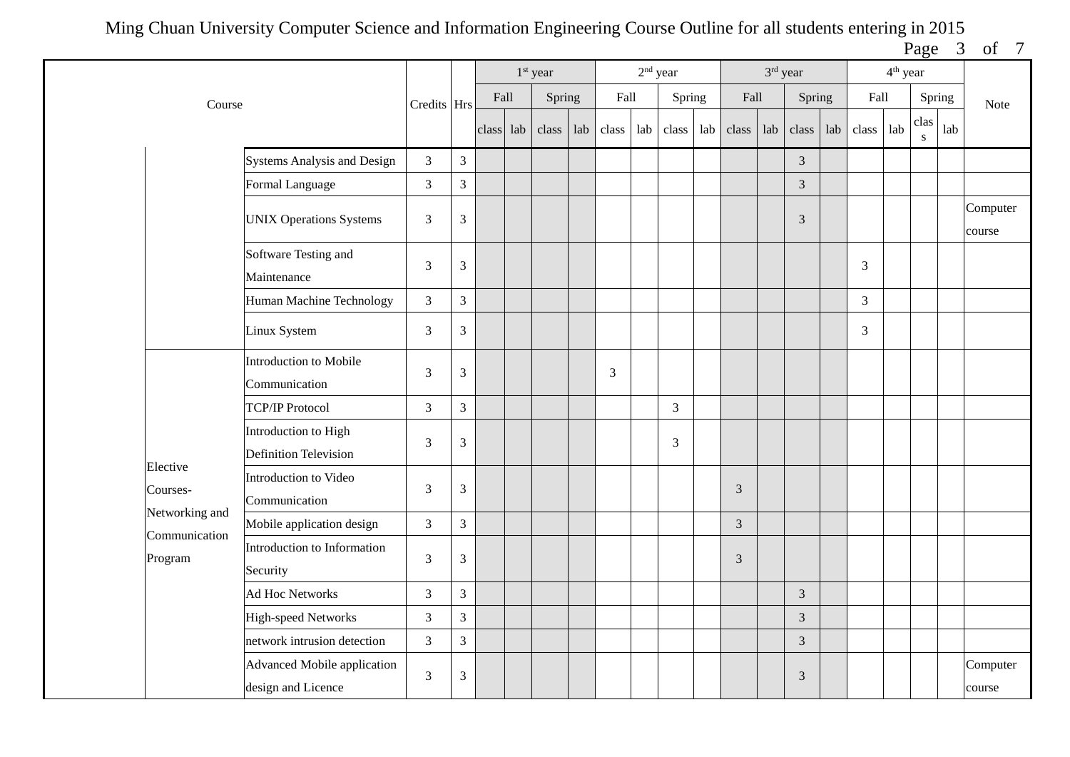Page 3 of 7

|                                 |                                                   |                |                             |           | $1st$ year |     |       | $2nd$ year |                |     |                | 3rd year |                |     |       | $4^{\text{th}}$ year |                   |     |                    |
|---------------------------------|---------------------------------------------------|----------------|-----------------------------|-----------|------------|-----|-------|------------|----------------|-----|----------------|----------|----------------|-----|-------|----------------------|-------------------|-----|--------------------|
| Course                          |                                                   | Credits Hrs    |                             | Fall      | Spring     |     | Fall  |            | Spring         |     | Fall           |          | Spring         |     | Fall  |                      | Spring            |     | Note               |
|                                 |                                                   |                |                             | class lab | class      | lab | class | lab        | class          | lab | class          | lab      | class          | lab | class | lab                  | clas<br>${\bf S}$ | lab |                    |
|                                 | Systems Analysis and Design                       | $\mathfrak{Z}$ | $\overline{3}$              |           |            |     |       |            |                |     |                |          | 3              |     |       |                      |                   |     |                    |
|                                 | Formal Language                                   | $\overline{3}$ | $\overline{3}$              |           |            |     |       |            |                |     |                |          | $\overline{3}$ |     |       |                      |                   |     |                    |
|                                 | <b>UNIX Operations Systems</b>                    | 3              | 3                           |           |            |     |       |            |                |     |                |          | 3              |     |       |                      |                   |     | Computer<br>course |
|                                 | Software Testing and<br>Maintenance               | $\mathfrak{Z}$ | $\mathfrak{Z}$              |           |            |     |       |            |                |     |                |          |                |     | 3     |                      |                   |     |                    |
|                                 | Human Machine Technology                          | $\overline{3}$ | $\overline{3}$              |           |            |     |       |            |                |     |                |          |                |     | 3     |                      |                   |     |                    |
|                                 | Linux System                                      | $\mathfrak{Z}$ | 3                           |           |            |     |       |            |                |     |                |          |                |     | 3     |                      |                   |     |                    |
|                                 | Introduction to Mobile<br>Communication           | 3              | 3                           |           |            |     | 3     |            |                |     |                |          |                |     |       |                      |                   |     |                    |
|                                 | <b>TCP/IP Protocol</b>                            | $\mathfrak{Z}$ | 3                           |           |            |     |       |            | $\mathfrak{Z}$ |     |                |          |                |     |       |                      |                   |     |                    |
|                                 | Introduction to High<br>Definition Television     | 3              | 3                           |           |            |     |       |            | 3              |     |                |          |                |     |       |                      |                   |     |                    |
| Elective<br>Courses-            | Introduction to Video<br>Communication            | 3              | 3                           |           |            |     |       |            |                |     | 3              |          |                |     |       |                      |                   |     |                    |
| Networking and<br>Communication | Mobile application design                         | $\mathfrak{Z}$ | $\overline{3}$              |           |            |     |       |            |                |     | 3              |          |                |     |       |                      |                   |     |                    |
| Program                         | Introduction to Information<br>Security           | $\mathfrak{Z}$ | 3                           |           |            |     |       |            |                |     | $\mathfrak{Z}$ |          |                |     |       |                      |                   |     |                    |
|                                 | <b>Ad Hoc Networks</b>                            | 3              | $\mathfrak{Z}$              |           |            |     |       |            |                |     |                |          | $\sqrt{3}$     |     |       |                      |                   |     |                    |
|                                 | High-speed Networks                               | $\mathfrak{Z}$ | $\overline{3}$              |           |            |     |       |            |                |     |                |          | $\overline{3}$ |     |       |                      |                   |     |                    |
|                                 | network intrusion detection                       | $\overline{3}$ | $\mathfrak{Z}$              |           |            |     |       |            |                |     |                |          | $\mathfrak{Z}$ |     |       |                      |                   |     |                    |
|                                 | Advanced Mobile application<br>design and Licence | $\mathfrak{Z}$ | $\ensuremath{\mathfrak{Z}}$ |           |            |     |       |            |                |     |                |          | $\mathfrak{Z}$ |     |       |                      |                   |     | Computer<br>course |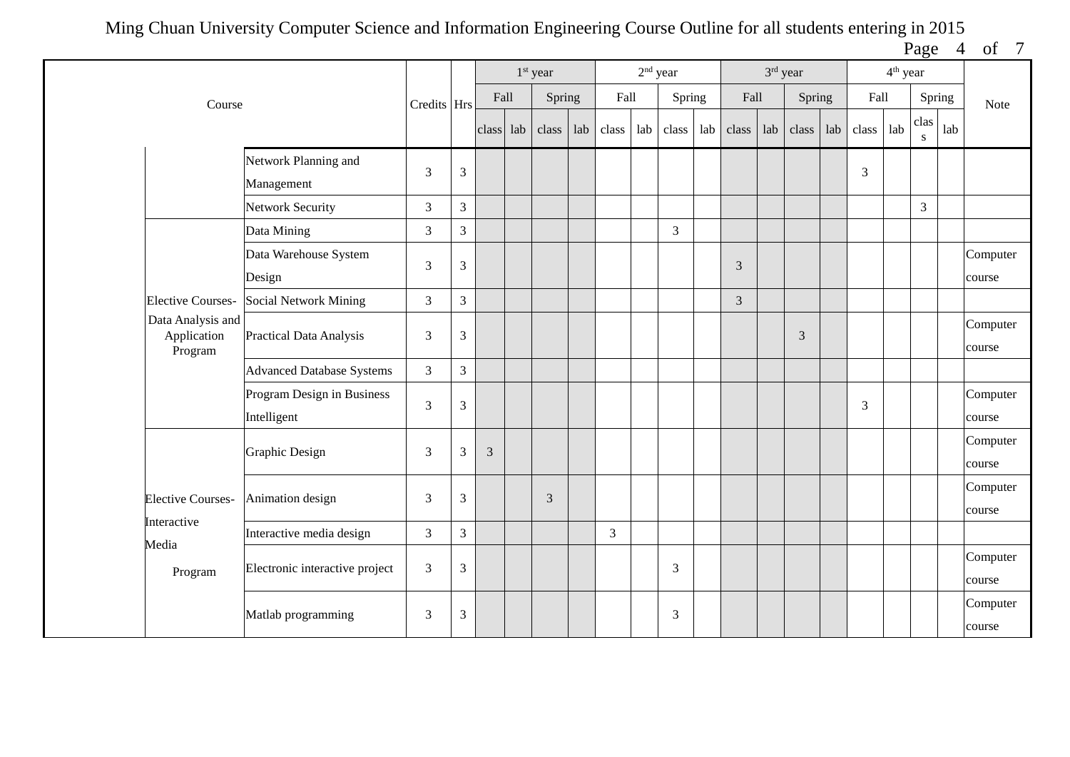Page 4 of 7

|                                             |                                           |                |                             |       |     | 1 <sup>st</sup> year |     |                | $2nd$ year |                |     |                |     | 3rd year       |     |       | 4 <sup>th</sup> year |                   |     |                    |
|---------------------------------------------|-------------------------------------------|----------------|-----------------------------|-------|-----|----------------------|-----|----------------|------------|----------------|-----|----------------|-----|----------------|-----|-------|----------------------|-------------------|-----|--------------------|
| Course                                      |                                           | Credits Hrs    |                             | Fall  |     | Spring               |     | Fall           |            | Spring         |     | Fall           |     | Spring         |     | Fall  |                      | Spring            |     | Note               |
|                                             |                                           |                |                             | class | lab | class                | lab | class          | lab        | class          | lab | class          | lab | class          | lab | class | lab                  | clas<br>${\bf S}$ | lab |                    |
|                                             | Network Planning and<br>Management        | 3              | $\mathfrak{Z}$              |       |     |                      |     |                |            |                |     |                |     |                |     | 3     |                      |                   |     |                    |
|                                             | Network Security                          | $\overline{3}$ | $\overline{3}$              |       |     |                      |     |                |            |                |     |                |     |                |     |       |                      | $\overline{3}$    |     |                    |
|                                             | Data Mining                               | $\overline{3}$ | $\overline{3}$              |       |     |                      |     |                |            | $\mathfrak{Z}$ |     |                |     |                |     |       |                      |                   |     |                    |
|                                             | Data Warehouse System<br>Design           | 3              | $\ensuremath{\mathfrak{Z}}$ |       |     |                      |     |                |            |                |     | $\mathfrak{Z}$ |     |                |     |       |                      |                   |     | Computer<br>course |
| <b>Elective Courses-</b>                    | Social Network Mining                     | $\mathfrak{Z}$ | $\overline{3}$              |       |     |                      |     |                |            |                |     | $\mathfrak{Z}$ |     |                |     |       |                      |                   |     |                    |
| Data Analysis and<br>Application<br>Program | Practical Data Analysis                   | $\mathfrak{Z}$ | $\mathfrak{Z}$              |       |     |                      |     |                |            |                |     |                |     | $\mathfrak{Z}$ |     |       |                      |                   |     | Computer<br>course |
|                                             | <b>Advanced Database Systems</b>          | $\overline{3}$ | $\overline{3}$              |       |     |                      |     |                |            |                |     |                |     |                |     |       |                      |                   |     |                    |
|                                             | Program Design in Business<br>Intelligent | $\overline{3}$ | $\mathfrak{Z}$              |       |     |                      |     |                |            |                |     |                |     |                |     | 3     |                      |                   |     | Computer<br>course |
|                                             | <b>Graphic Design</b>                     | $\mathfrak{Z}$ | $\mathfrak{Z}$              | 3     |     |                      |     |                |            |                |     |                |     |                |     |       |                      |                   |     | Computer<br>course |
| <b>Elective Courses-</b>                    | Animation design                          | $\overline{3}$ | $\mathfrak{Z}$              |       |     | 3                    |     |                |            |                |     |                |     |                |     |       |                      |                   |     | Computer<br>course |
| Interactive<br>Media                        | Interactive media design                  | $\mathfrak{Z}$ | $\overline{3}$              |       |     |                      |     | $\overline{3}$ |            |                |     |                |     |                |     |       |                      |                   |     |                    |
| Program                                     | Electronic interactive project            | $\mathfrak{Z}$ | $\mathfrak{Z}$              |       |     |                      |     |                |            | 3              |     |                |     |                |     |       |                      |                   |     | Computer<br>course |
|                                             | Matlab programming                        | $\mathfrak{Z}$ | $\ensuremath{\mathfrak{Z}}$ |       |     |                      |     |                |            | $\mathfrak{Z}$ |     |                |     |                |     |       |                      |                   |     | Computer<br>course |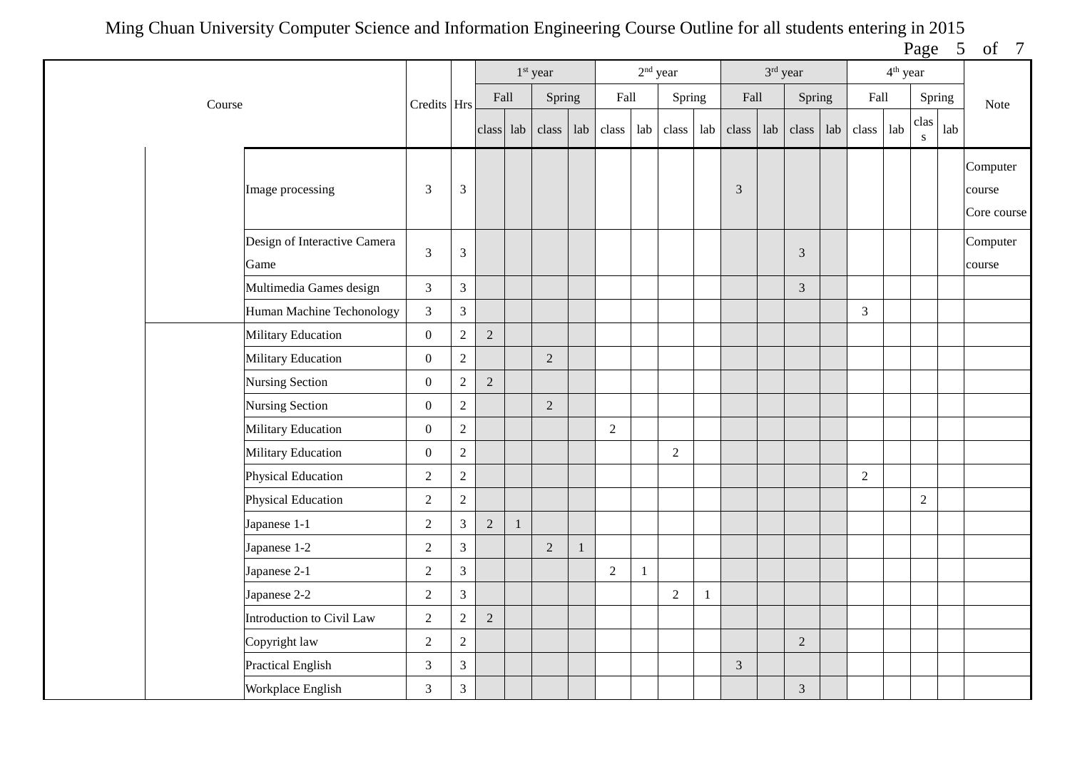Page 5 of 7

|        |                                      |                  |                |                |              | 1 <sup>st</sup> year |     |            |              | $2nd$ year     |              |                | 3rd year |                |     |                | 4 <sup>th</sup> year |                      |     |                                   |
|--------|--------------------------------------|------------------|----------------|----------------|--------------|----------------------|-----|------------|--------------|----------------|--------------|----------------|----------|----------------|-----|----------------|----------------------|----------------------|-----|-----------------------------------|
| Course |                                      | Credits Hrs      |                | Fall           |              | Spring               |     | Fall       |              | Spring         |              | Fall           |          | Spring         |     | Fall           |                      | Spring               |     | Note                              |
|        |                                      |                  |                | class lab      |              | class                | lab | class      | lab          | class          | lab          | class lab      |          | class          | lab | class          | lab                  | clas<br>$\mathbf{s}$ | lab |                                   |
|        | Image processing                     | 3                | 3              |                |              |                      |     |            |              |                |              | 3              |          |                |     |                |                      |                      |     | Computer<br>course<br>Core course |
|        | Design of Interactive Camera<br>Game | 3                | $\mathfrak{Z}$ |                |              |                      |     |            |              |                |              |                |          | 3              |     |                |                      |                      |     | Computer<br>course                |
|        | Multimedia Games design              | $\overline{3}$   | $\mathfrak{Z}$ |                |              |                      |     |            |              |                |              |                |          | $\mathfrak{Z}$ |     |                |                      |                      |     |                                   |
|        | Human Machine Techonology            | $\overline{3}$   | $\mathfrak{Z}$ |                |              |                      |     |            |              |                |              |                |          |                |     | $\overline{3}$ |                      |                      |     |                                   |
|        | <b>Military Education</b>            | $\overline{0}$   | $\sqrt{2}$     | $\overline{2}$ |              |                      |     |            |              |                |              |                |          |                |     |                |                      |                      |     |                                   |
|        | Military Education                   | $\boldsymbol{0}$ | $\sqrt{2}$     |                |              | $\overline{2}$       |     |            |              |                |              |                |          |                |     |                |                      |                      |     |                                   |
|        | <b>Nursing Section</b>               | $\overline{0}$   | $\overline{2}$ | $\overline{2}$ |              |                      |     |            |              |                |              |                |          |                |     |                |                      |                      |     |                                   |
|        | <b>Nursing Section</b>               | $\overline{0}$   | $\sqrt{2}$     |                |              | $\sqrt{2}$           |     |            |              |                |              |                |          |                |     |                |                      |                      |     |                                   |
|        | <b>Military Education</b>            | $\overline{0}$   | $\sqrt{2}$     |                |              |                      |     | $\sqrt{2}$ |              |                |              |                |          |                |     |                |                      |                      |     |                                   |
|        | Military Education                   | $\mathbf{0}$     | $\sqrt{2}$     |                |              |                      |     |            |              | $\overline{2}$ |              |                |          |                |     |                |                      |                      |     |                                   |
|        | Physical Education                   | $\overline{2}$   | $\sqrt{2}$     |                |              |                      |     |            |              |                |              |                |          |                |     | $\overline{2}$ |                      |                      |     |                                   |
|        | Physical Education                   | $\overline{2}$   | $\sqrt{2}$     |                |              |                      |     |            |              |                |              |                |          |                |     |                |                      | $\sqrt{2}$           |     |                                   |
|        | Japanese 1-1                         | $\overline{2}$   | $\mathfrak{Z}$ | $\overline{2}$ | $\mathbf{1}$ |                      |     |            |              |                |              |                |          |                |     |                |                      |                      |     |                                   |
|        | Japanese 1-2                         | $\overline{c}$   | $\mathfrak{Z}$ |                |              | $\sqrt{2}$           |     |            |              |                |              |                |          |                |     |                |                      |                      |     |                                   |
|        | Japanese 2-1                         | $\overline{2}$   | $\mathfrak{Z}$ |                |              |                      |     | $\sqrt{2}$ | $\mathbf{1}$ |                |              |                |          |                |     |                |                      |                      |     |                                   |
|        | Japanese 2-2                         | $\overline{2}$   | $\mathfrak{Z}$ |                |              |                      |     |            |              | $\sqrt{2}$     | $\mathbf{1}$ |                |          |                |     |                |                      |                      |     |                                   |
|        | Introduction to Civil Law            | $\overline{2}$   | $\overline{2}$ | $\overline{2}$ |              |                      |     |            |              |                |              |                |          |                |     |                |                      |                      |     |                                   |
|        | Copyright law                        | $\overline{2}$   | $\sqrt{2}$     |                |              |                      |     |            |              |                |              |                |          | $\sqrt{2}$     |     |                |                      |                      |     |                                   |
|        | <b>Practical English</b>             | $\overline{3}$   | $\mathfrak{Z}$ |                |              |                      |     |            |              |                |              | $\mathfrak{Z}$ |          |                |     |                |                      |                      |     |                                   |
|        | Workplace English                    | 3                | $\mathfrak{Z}$ |                |              |                      |     |            |              |                |              |                |          | $\mathfrak{Z}$ |     |                |                      |                      |     |                                   |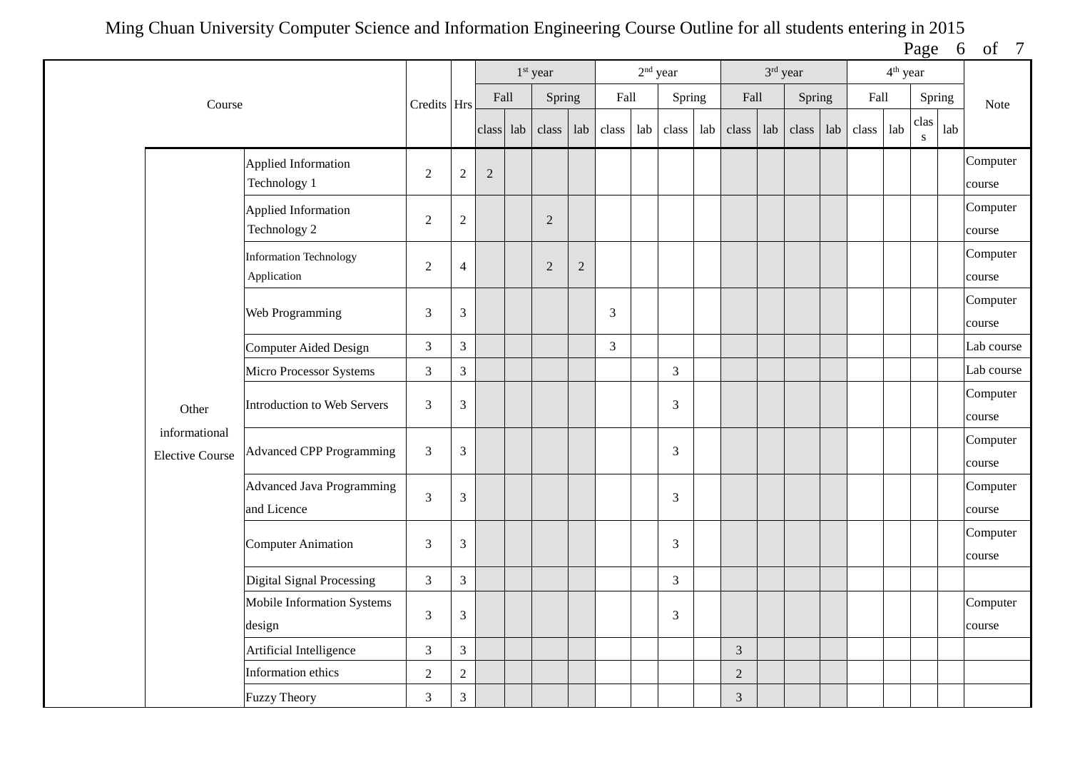Page 6 of 7

|                                         |                                                 |                |                  |                | $1st$ year     |            |                |     | $2nd$ year     |     |                | 3rd year |        |     |       | 4 <sup>th</sup> year |                   |     |                    |
|-----------------------------------------|-------------------------------------------------|----------------|------------------|----------------|----------------|------------|----------------|-----|----------------|-----|----------------|----------|--------|-----|-------|----------------------|-------------------|-----|--------------------|
| Course                                  |                                                 | Credits Hrs    |                  | Fall           | Spring         |            | Fall           |     | Spring         |     | Fall           |          | Spring |     | Fall  |                      | Spring            |     | Note               |
|                                         |                                                 |                |                  | class lab      | class          | lab        | class          | lab | class          | lab | class          | lab      | class  | lab | class | lab                  | clas<br>${\bf S}$ | lab |                    |
|                                         | <b>Applied Information</b><br>Technology 1      | $\overline{2}$ | $\sqrt{2}$       | $\overline{2}$ |                |            |                |     |                |     |                |          |        |     |       |                      |                   |     | Computer<br>course |
|                                         | Applied Information<br>Technology 2             | $\overline{c}$ | $\boldsymbol{2}$ |                | $\overline{2}$ |            |                |     |                |     |                |          |        |     |       |                      |                   |     | Computer<br>course |
|                                         | <b>Information Technology</b><br>Application    | $\sqrt{2}$     | $\overline{4}$   |                | $\overline{2}$ | $\sqrt{2}$ |                |     |                |     |                |          |        |     |       |                      |                   |     | Computer<br>course |
|                                         | Web Programming                                 | $\mathfrak{Z}$ | $\mathfrak 3$    |                |                |            | 3              |     |                |     |                |          |        |     |       |                      |                   |     | Computer<br>course |
|                                         | <b>Computer Aided Design</b>                    | $\mathfrak{Z}$ | $\overline{3}$   |                |                |            | $\overline{3}$ |     |                |     |                |          |        |     |       |                      |                   |     | Lab course         |
|                                         | Micro Processor Systems                         | $\mathfrak{Z}$ | 3                |                |                |            |                |     | $\mathfrak{Z}$ |     |                |          |        |     |       |                      |                   |     | Lab course         |
| Other                                   | <b>Introduction to Web Servers</b>              | $\mathfrak{Z}$ | $\mathfrak{Z}$   |                |                |            |                |     | $\mathfrak{Z}$ |     |                |          |        |     |       |                      |                   |     | Computer<br>course |
| informational<br><b>Elective Course</b> | <b>Advanced CPP Programming</b>                 | $\mathfrak{Z}$ | $\mathfrak 3$    |                |                |            |                |     | $\overline{3}$ |     |                |          |        |     |       |                      |                   |     | Computer<br>course |
|                                         | <b>Advanced Java Programming</b><br>and Licence | $\mathfrak{Z}$ | 3                |                |                |            |                |     | 3              |     |                |          |        |     |       |                      |                   |     | Computer<br>course |
|                                         | <b>Computer Animation</b>                       | 3              | $\mathfrak{Z}$   |                |                |            |                |     | $\mathfrak{Z}$ |     |                |          |        |     |       |                      |                   |     | Computer<br>course |
|                                         | Digital Signal Processing                       | $\mathfrak{Z}$ | 3                |                |                |            |                |     | $\mathfrak{Z}$ |     |                |          |        |     |       |                      |                   |     |                    |
|                                         | Mobile Information Systems<br>design            | $\mathfrak{Z}$ | $\mathfrak{Z}$   |                |                |            |                |     | 3              |     |                |          |        |     |       |                      |                   |     | Computer<br>course |
|                                         | Artificial Intelligence                         | $\mathfrak{Z}$ | 3                |                |                |            |                |     |                |     | $\mathfrak{Z}$ |          |        |     |       |                      |                   |     |                    |
|                                         | Information ethics                              | $\sqrt{2}$     | $\overline{2}$   |                |                |            |                |     |                |     | $\overline{2}$ |          |        |     |       |                      |                   |     |                    |
|                                         | <b>Fuzzy Theory</b>                             | $\mathfrak{Z}$ | 3                |                |                |            |                |     |                |     | $\sqrt{3}$     |          |        |     |       |                      |                   |     |                    |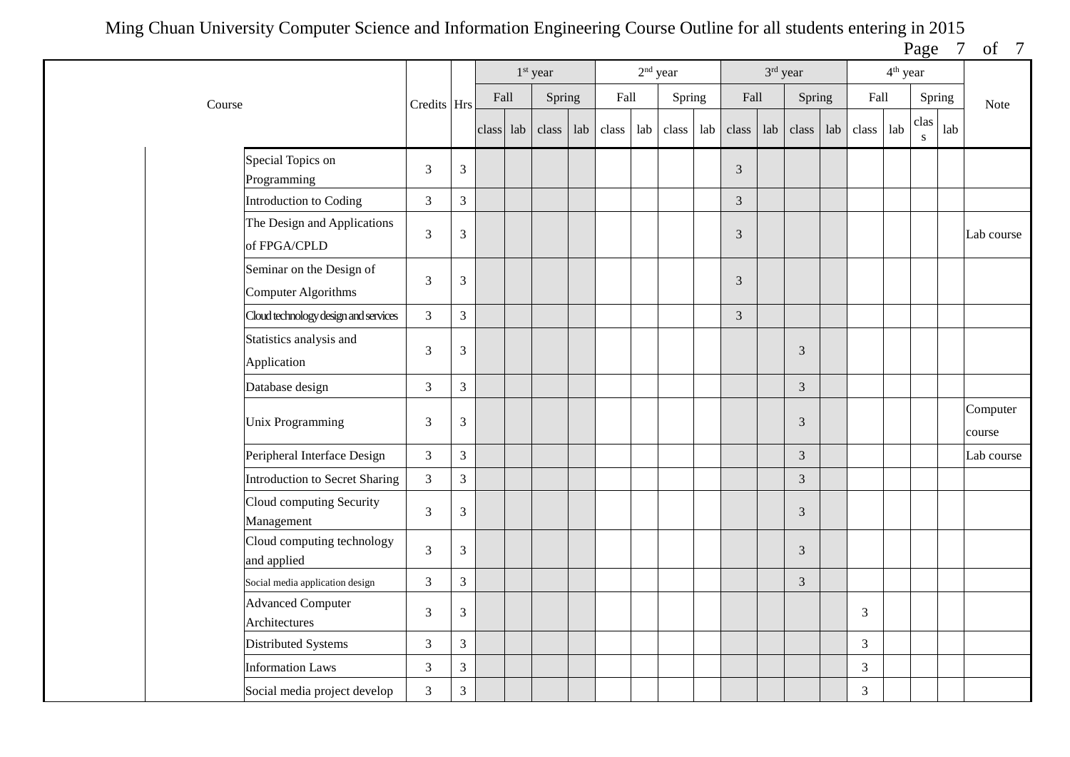Page 7 of 7

|                                                        |                |                |       |     | 1 <sup>st</sup> year |     |       | $2nd$ year |        |     |                             | 3rd year |                |     |       | $4^{\text{th}}$ year |           |     |                    |
|--------------------------------------------------------|----------------|----------------|-------|-----|----------------------|-----|-------|------------|--------|-----|-----------------------------|----------|----------------|-----|-------|----------------------|-----------|-----|--------------------|
| Course                                                 | Credits Hrs    |                | Fall  |     | Spring               |     | Fall  |            | Spring |     | Fall                        |          | Spring         |     | Fall  |                      | Spring    |     | Note               |
|                                                        |                |                | class | lab | class                | lab | class | lab        | class  | lab | class                       | lab      | class          | lab | class | lab                  | clas<br>S | lab |                    |
| Special Topics on<br>Programming                       | 3              | 3              |       |     |                      |     |       |            |        |     | 3                           |          |                |     |       |                      |           |     |                    |
| Introduction to Coding                                 | $\overline{3}$ | 3              |       |     |                      |     |       |            |        |     | $\overline{3}$              |          |                |     |       |                      |           |     |                    |
| The Design and Applications<br>of FPGA/CPLD            | 3              | $\mathfrak{Z}$ |       |     |                      |     |       |            |        |     | $\ensuremath{\mathfrak{Z}}$ |          |                |     |       |                      |           |     | Lab course         |
| Seminar on the Design of<br><b>Computer Algorithms</b> | 3              | $\mathfrak{Z}$ |       |     |                      |     |       |            |        |     | 3                           |          |                |     |       |                      |           |     |                    |
| Cloud technology design and services                   | $\overline{3}$ | 3              |       |     |                      |     |       |            |        |     | $\overline{3}$              |          |                |     |       |                      |           |     |                    |
| Statistics analysis and<br>Application                 | $\mathfrak{Z}$ | $\mathfrak{Z}$ |       |     |                      |     |       |            |        |     |                             |          | 3              |     |       |                      |           |     |                    |
| Database design                                        | 3              | $\mathfrak{Z}$ |       |     |                      |     |       |            |        |     |                             |          | $\mathfrak{Z}$ |     |       |                      |           |     |                    |
| <b>Unix Programming</b>                                | 3              | $\mathfrak{Z}$ |       |     |                      |     |       |            |        |     |                             |          | 3              |     |       |                      |           |     | Computer<br>course |
| Peripheral Interface Design                            | $\mathfrak{Z}$ | $\mathfrak{Z}$ |       |     |                      |     |       |            |        |     |                             |          | 3              |     |       |                      |           |     | Lab course         |
| <b>Introduction to Secret Sharing</b>                  | $\mathfrak{Z}$ | 3              |       |     |                      |     |       |            |        |     |                             |          | 3              |     |       |                      |           |     |                    |
| Cloud computing Security<br>Management                 | 3              | 3              |       |     |                      |     |       |            |        |     |                             |          | 3              |     |       |                      |           |     |                    |
| Cloud computing technology<br>and applied              | $\overline{3}$ | $\mathfrak{Z}$ |       |     |                      |     |       |            |        |     |                             |          | 3              |     |       |                      |           |     |                    |
| Social media application design                        | $\mathfrak{Z}$ | $\mathfrak{Z}$ |       |     |                      |     |       |            |        |     |                             |          | $\mathfrak{Z}$ |     |       |                      |           |     |                    |
| <b>Advanced Computer</b><br>Architectures              | 3              | 3              |       |     |                      |     |       |            |        |     |                             |          |                |     | 3     |                      |           |     |                    |
| Distributed Systems                                    | 3              | 3              |       |     |                      |     |       |            |        |     |                             |          |                |     | 3     |                      |           |     |                    |
| <b>Information Laws</b>                                | $\mathfrak{Z}$ | 3              |       |     |                      |     |       |            |        |     |                             |          |                |     | 3     |                      |           |     |                    |
| Social media project develop                           | 3              | 3              |       |     |                      |     |       |            |        |     |                             |          |                |     | 3     |                      |           |     |                    |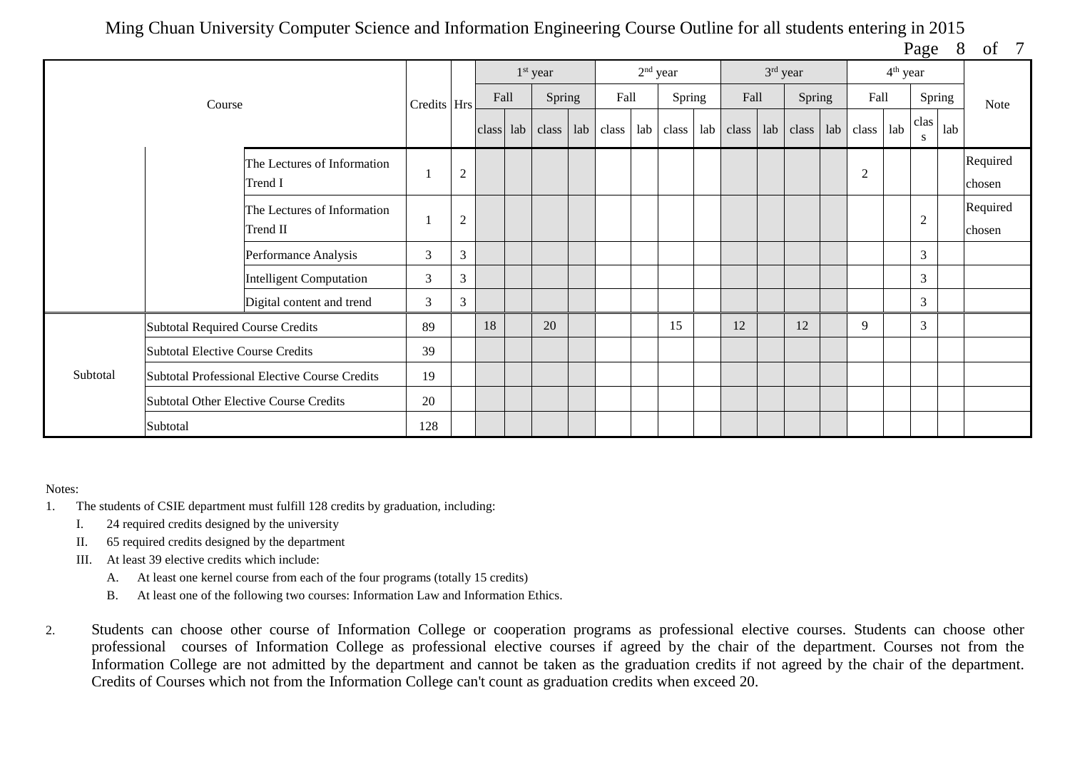Page 8 of 7

|          |                                         |                                               |             |                |       | 1 <sup>st</sup> year |     |       | $2nd$ year |        |     |       |     | $3rd$ year |                | 4 <sup>th</sup> year |                |        |                    |
|----------|-----------------------------------------|-----------------------------------------------|-------------|----------------|-------|----------------------|-----|-------|------------|--------|-----|-------|-----|------------|----------------|----------------------|----------------|--------|--------------------|
|          | Course                                  |                                               | Credits Hrs |                | Fall  | Spring               |     | Fall  |            | Spring |     | Fall  |     | Spring     | Fall           |                      |                | Spring | Note               |
|          |                                         |                                               |             |                | class | $ ab $ class         | lab | class | lab        | class  | lab | class | lab | class      | $lab$ $class$  | lab                  | clas<br>S      | lab    |                    |
|          |                                         | The Lectures of Information<br>Trend I        |             | $\overline{2}$ |       |                      |     |       |            |        |     |       |     |            | $\overline{2}$ |                      |                |        | Required<br>chosen |
|          |                                         | The Lectures of Information<br>Trend II       |             | $\overline{2}$ |       |                      |     |       |            |        |     |       |     |            |                |                      | $\overline{c}$ |        | Required<br>chosen |
|          |                                         | Performance Analysis                          | 3           | 3              |       |                      |     |       |            |        |     |       |     |            |                |                      | 3              |        |                    |
|          |                                         | <b>Intelligent Computation</b>                | 3           | 3              |       |                      |     |       |            |        |     |       |     |            |                |                      | 3              |        |                    |
|          |                                         | Digital content and trend                     | 3           | 3              |       |                      |     |       |            |        |     |       |     |            |                |                      | 3              |        |                    |
|          | <b>Subtotal Required Course Credits</b> |                                               | 89          |                | 18    | 20                   |     |       |            | 15     |     | 12    |     | 12         | 9              |                      | 3              |        |                    |
|          | <b>Subtotal Elective Course Credits</b> |                                               | 39          |                |       |                      |     |       |            |        |     |       |     |            |                |                      |                |        |                    |
| Subtotal |                                         | Subtotal Professional Elective Course Credits | 19          |                |       |                      |     |       |            |        |     |       |     |            |                |                      |                |        |                    |
|          |                                         | <b>Subtotal Other Elective Course Credits</b> | 20          |                |       |                      |     |       |            |        |     |       |     |            |                |                      |                |        |                    |
|          | Subtotal                                |                                               | 128         |                |       |                      |     |       |            |        |     |       |     |            |                |                      |                |        |                    |

## Notes:

- 1. The students of CSIE department must fulfill 128 credits by graduation, including:
	- I. 24 required credits designed by the university
	- II. 65 required credits designed by the department
	- III. At least 39 elective credits which include:
		- A. At least one kernel course from each of the four programs (totally 15 credits)
		- B. At least one of the following two courses: Information Law and Information Ethics.
- 2. Students can choose other course of Information College or cooperation programs as professional elective courses. Students can choose other professional courses of Information College as professional elective courses if agreed by the chair of the department. Courses not from the Information College are not admitted by the department and cannot be taken as the graduation credits if not agreed by the chair of the department. Credits of Courses which not from the Information College can't count as graduation credits when exceed 20.